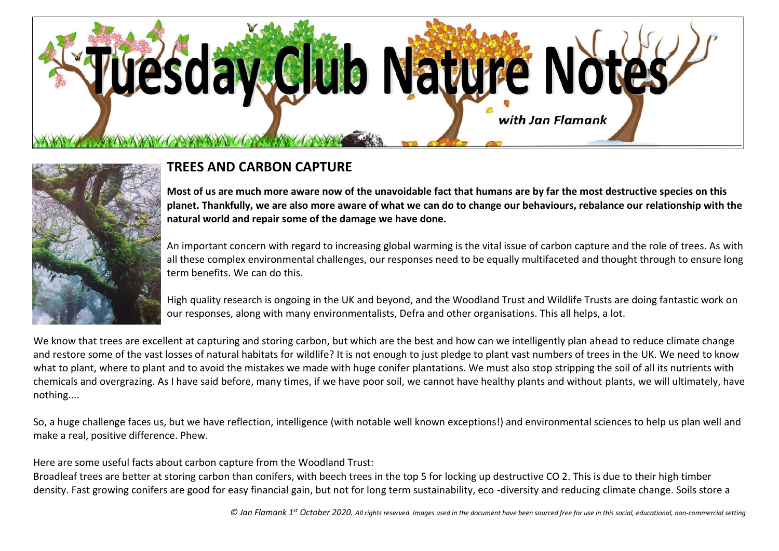

## **TREES AND CARBON CAPTURE**

**Most of us are much more aware now of the unavoidable fact that humans are by far the most destructive species on this planet. Thankfully, we are also more aware of what we can do to change our behaviours, rebalance our relationship with the natural world and repair some of the damage we have done.**

An important concern with regard to increasing global warming is the vital issue of carbon capture and the role of trees. As with all these complex environmental challenges, our responses need to be equally multifaceted and thought through to ensure long term benefits. We can do this.

High quality research is ongoing in the UK and beyond, and the Woodland Trust and Wildlife Trusts are doing fantastic work on our responses, along with many environmentalists, Defra and other organisations. This all helps, a lot.

We know that trees are excellent at capturing and storing carbon, but which are the best and how can we intelligently plan ahead to reduce climate change and restore some of the vast losses of natural habitats for wildlife? It is not enough to just pledge to plant vast numbers of trees in the UK. We need to know what to plant, where to plant and to avoid the mistakes we made with huge conifer plantations. We must also stop stripping the soil of all its nutrients with chemicals and overgrazing. As I have said before, many times, if we have poor soil, we cannot have healthy plants and without plants, we will ultimately, have nothing....

So, a huge challenge faces us, but we have reflection, intelligence (with notable well known exceptions!) and environmental sciences to help us plan well and make a real, positive difference. Phew.

Here are some useful facts about carbon capture from the Woodland Trust:

Broadleaf trees are better at storing carbon than conifers, with beech trees in the top 5 for locking up destructive CO 2. This is due to their high timber density. Fast growing conifers are good for easy financial gain, but not for long term sustainability, eco -diversity and reducing climate change. Soils store a